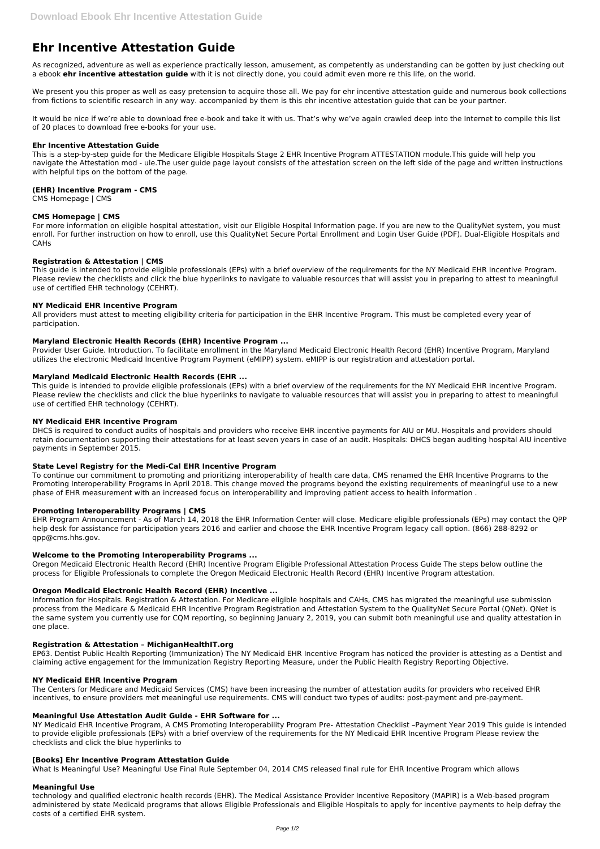# **Ehr Incentive Attestation Guide**

As recognized, adventure as well as experience practically lesson, amusement, as competently as understanding can be gotten by just checking out a ebook **ehr incentive attestation guide** with it is not directly done, you could admit even more re this life, on the world.

We present you this proper as well as easy pretension to acquire those all. We pay for ehr incentive attestation quide and numerous book collections from fictions to scientific research in any way. accompanied by them is this ehr incentive attestation guide that can be your partner.

It would be nice if we're able to download free e-book and take it with us. That's why we've again crawled deep into the Internet to compile this list of 20 places to download free e-books for your use.

#### **Ehr Incentive Attestation Guide**

This is a step-by-step guide for the Medicare Eligible Hospitals Stage 2 EHR Incentive Program ATTESTATION module.This guide will help you navigate the Attestation mod - ule.The user guide page layout consists of the attestation screen on the left side of the page and written instructions with helpful tips on the bottom of the page.

#### **(EHR) Incentive Program - CMS**

CMS Homepage | CMS

## **CMS Homepage | CMS**

For more information on eligible hospital attestation, visit our Eligible Hospital Information page. If you are new to the QualityNet system, you must enroll. For further instruction on how to enroll, use this QualityNet Secure Portal Enrollment and Login User Guide (PDF). Dual-Eligible Hospitals and CAHs

#### **Registration & Attestation | CMS**

This guide is intended to provide eligible professionals (EPs) with a brief overview of the requirements for the NY Medicaid EHR Incentive Program. Please review the checklists and click the blue hyperlinks to navigate to valuable resources that will assist you in preparing to attest to meaningful use of certified EHR technology (CEHRT).

#### **NY Medicaid EHR Incentive Program**

All providers must attest to meeting eligibility criteria for participation in the EHR Incentive Program. This must be completed every year of participation.

#### **Maryland Electronic Health Records (EHR) Incentive Program ...**

Provider User Guide. Introduction. To facilitate enrollment in the Maryland Medicaid Electronic Health Record (EHR) Incentive Program, Maryland utilizes the electronic Medicaid Incentive Program Payment (eMIPP) system. eMIPP is our registration and attestation portal.

#### **Maryland Medicaid Electronic Health Records (EHR ...**

This guide is intended to provide eligible professionals (EPs) with a brief overview of the requirements for the NY Medicaid EHR Incentive Program. Please review the checklists and click the blue hyperlinks to navigate to valuable resources that will assist you in preparing to attest to meaningful use of certified EHR technology (CEHRT).

#### **NY Medicaid EHR Incentive Program**

DHCS is required to conduct audits of hospitals and providers who receive EHR incentive payments for AIU or MU. Hospitals and providers should retain documentation supporting their attestations for at least seven years in case of an audit. Hospitals: DHCS began auditing hospital AIU incentive payments in September 2015.

#### **State Level Registry for the Medi-Cal EHR Incentive Program**

To continue our commitment to promoting and prioritizing interoperability of health care data, CMS renamed the EHR Incentive Programs to the Promoting Interoperability Programs in April 2018. This change moved the programs beyond the existing requirements of meaningful use to a new phase of EHR measurement with an increased focus on interoperability and improving patient access to health information .

#### **Promoting Interoperability Programs | CMS**

EHR Program Announcement - As of March 14, 2018 the EHR Information Center will close. Medicare eligible professionals (EPs) may contact the QPP help desk for assistance for participation years 2016 and earlier and choose the EHR Incentive Program legacy call option. (866) 288-8292 or qpp@cms.hhs.gov.

#### **Welcome to the Promoting Interoperability Programs ...**

Oregon Medicaid Electronic Health Record (EHR) Incentive Program Eligible Professional Attestation Process Guide The steps below outline the process for Eligible Professionals to complete the Oregon Medicaid Electronic Health Record (EHR) Incentive Program attestation.

#### **Oregon Medicaid Electronic Health Record (EHR) Incentive ...**

Information for Hospitals. Registration & Attestation. For Medicare eligible hospitals and CAHs, CMS has migrated the meaningful use submission process from the Medicare & Medicaid EHR Incentive Program Registration and Attestation System to the QualityNet Secure Portal (QNet). QNet is the same system you currently use for CQM reporting, so beginning January 2, 2019, you can submit both meaningful use and quality attestation in one place.

### **Registration & Attestation – MichiganHealthIT.org**

EP63. Dentist Public Health Reporting (Immunization) The NY Medicaid EHR Incentive Program has noticed the provider is attesting as a Dentist and claiming active engagement for the Immunization Registry Reporting Measure, under the Public Health Registry Reporting Objective.

#### **NY Medicaid EHR Incentive Program**

The Centers for Medicare and Medicaid Services (CMS) have been increasing the number of attestation audits for providers who received EHR incentives, to ensure providers met meaningful use requirements. CMS will conduct two types of audits: post-payment and pre-payment.

#### **Meaningful Use Attestation Audit Guide - EHR Software for ...**

NY Medicaid EHR Incentive Program, A CMS Promoting Interoperability Program Pre- Attestation Checklist –Payment Year 2019 This guide is intended to provide eligible professionals (EPs) with a brief overview of the requirements for the NY Medicaid EHR Incentive Program Please review the checklists and click the blue hyperlinks to

#### **[Books] Ehr Incentive Program Attestation Guide**

What Is Meaningful Use? Meaningful Use Final Rule September 04, 2014 CMS released final rule for EHR Incentive Program which allows

#### **Meaningful Use**

technology and qualified electronic health records (EHR). The Medical Assistance Provider Incentive Repository (MAPIR) is a Web-based program administered by state Medicaid programs that allows Eligible Professionals and Eligible Hospitals to apply for incentive payments to help defray the costs of a certified EHR system.